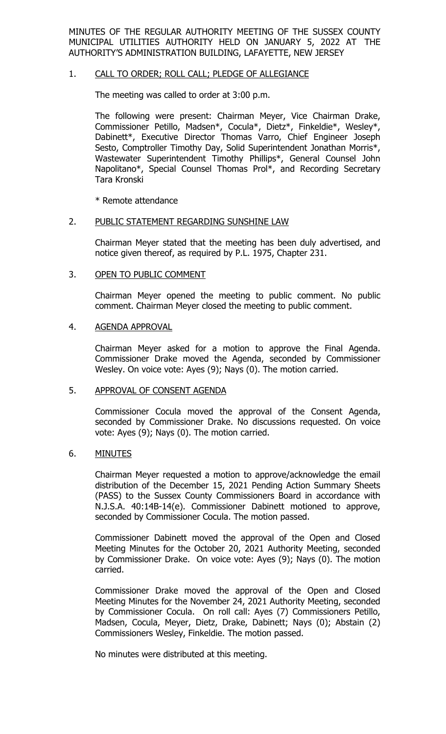MINUTES OF THE REGULAR AUTHORITY MEETING OF THE SUSSEX COUNTY MUNICIPAL UTILITIES AUTHORITY HELD ON JANUARY 5, 2022 AT THE AUTHORITY'S ADMINISTRATION BUILDING, LAFAYETTE, NEW JERSEY

### 1. CALL TO ORDER; ROLL CALL; PLEDGE OF ALLEGIANCE

The meeting was called to order at 3:00 p.m.

The following were present: Chairman Meyer, Vice Chairman Drake, Commissioner Petillo, Madsen\*, Cocula\*, Dietz\*, Finkeldie\*, Wesley\*, Dabinett\*, Executive Director Thomas Varro, Chief Engineer Joseph Sesto, Comptroller Timothy Day, Solid Superintendent Jonathan Morris\*, Wastewater Superintendent Timothy Phillips\*, General Counsel John Napolitano\*, Special Counsel Thomas Prol\*, and Recording Secretary Tara Kronski

\* Remote attendance

#### 2. PUBLIC STATEMENT REGARDING SUNSHINE LAW

Chairman Meyer stated that the meeting has been duly advertised, and notice given thereof, as required by P.L. 1975, Chapter 231.

#### 3. OPEN TO PUBLIC COMMENT

Chairman Meyer opened the meeting to public comment. No public comment. Chairman Meyer closed the meeting to public comment.

#### 4. AGENDA APPROVAL

Chairman Meyer asked for a motion to approve the Final Agenda. Commissioner Drake moved the Agenda, seconded by Commissioner Wesley. On voice vote: Ayes (9); Nays (0). The motion carried.

#### 5. APPROVAL OF CONSENT AGENDA

Commissioner Cocula moved the approval of the Consent Agenda, seconded by Commissioner Drake. No discussions requested. On voice vote: Ayes (9); Nays (0). The motion carried.

### 6. MINUTES

Chairman Meyer requested a motion to approve/acknowledge the email distribution of the December 15, 2021 Pending Action Summary Sheets (PASS) to the Sussex County Commissioners Board in accordance with N.J.S.A. 40:14B-14(e). Commissioner Dabinett motioned to approve, seconded by Commissioner Cocula. The motion passed.

Commissioner Dabinett moved the approval of the Open and Closed Meeting Minutes for the October 20, 2021 Authority Meeting, seconded by Commissioner Drake. On voice vote: Ayes (9); Nays (0). The motion carried.

Commissioner Drake moved the approval of the Open and Closed Meeting Minutes for the November 24, 2021 Authority Meeting, seconded by Commissioner Cocula. On roll call: Ayes (7) Commissioners Petillo, Madsen, Cocula, Meyer, Dietz, Drake, Dabinett; Nays (0); Abstain (2) Commissioners Wesley, Finkeldie. The motion passed.

No minutes were distributed at this meeting.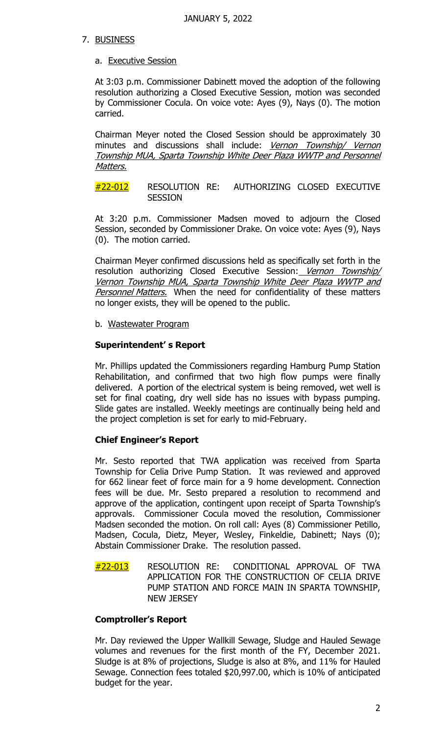## 7. BUSINESS

## a. Executive Session

At 3:03 p.m. Commissioner Dabinett moved the adoption of the following resolution authorizing a Closed Executive Session, motion was seconded by Commissioner Cocula. On voice vote: Ayes (9), Nays (0). The motion carried.

Chairman Meyer noted the Closed Session should be approximately 30 minutes and discussions shall include: Vernon Township/ Vernon Township MUA, Sparta Township White Deer Plaza WWTP and Personnel Matters.

#22-012 RESOLUTION RE: AUTHORIZING CLOSED EXECUTIVE **SESSION** 

At 3:20 p.m. Commissioner Madsen moved to adjourn the Closed Session, seconded by Commissioner Drake. On voice vote: Ayes (9), Nays (0). The motion carried.

Chairman Meyer confirmed discussions held as specifically set forth in the resolution authorizing Closed Executive Session: Vernon Township/ Vernon Township MUA, Sparta Township White Deer Plaza WWTP and Personnel Matters. When the need for confidentiality of these matters no longer exists, they will be opened to the public.

b. Wastewater Program

## **Superintendent' s Report**

Mr. Phillips updated the Commissioners regarding Hamburg Pump Station Rehabilitation, and confirmed that two high flow pumps were finally delivered. A portion of the electrical system is being removed, wet well is set for final coating, dry well side has no issues with bypass pumping. Slide gates are installed. Weekly meetings are continually being held and the project completion is set for early to mid-February.

# **Chief Engineer's Report**

Mr. Sesto reported that TWA application was received from Sparta Township for Celia Drive Pump Station. It was reviewed and approved for 662 linear feet of force main for a 9 home development. Connection fees will be due. Mr. Sesto prepared a resolution to recommend and approve of the application, contingent upon receipt of Sparta Township's approvals. Commissioner Cocula moved the resolution, Commissioner Madsen seconded the motion. On roll call: Ayes (8) Commissioner Petillo, Madsen, Cocula, Dietz, Meyer, Wesley, Finkeldie, Dabinett; Nays (0); Abstain Commissioner Drake. The resolution passed.

#22-013 RESOLUTION RE: CONDITIONAL APPROVAL OF TWA APPLICATION FOR THE CONSTRUCTION OF CELIA DRIVE PUMP STATION AND FORCE MAIN IN SPARTA TOWNSHIP, NEW JERSEY

# **Comptroller's Report**

Mr. Day reviewed the Upper Wallkill Sewage, Sludge and Hauled Sewage volumes and revenues for the first month of the FY, December 2021. Sludge is at 8% of projections, Sludge is also at 8%, and 11% for Hauled Sewage. Connection fees totaled \$20,997.00, which is 10% of anticipated budget for the year.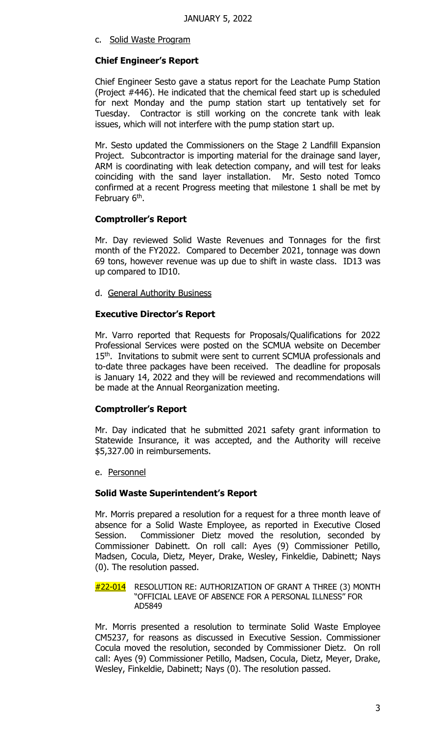c. Solid Waste Program

## **Chief Engineer's Report**

Chief Engineer Sesto gave a status report for the Leachate Pump Station (Project #446). He indicated that the chemical feed start up is scheduled for next Monday and the pump station start up tentatively set for Tuesday. Contractor is still working on the concrete tank with leak issues, which will not interfere with the pump station start up.

Mr. Sesto updated the Commissioners on the Stage 2 Landfill Expansion Project. Subcontractor is importing material for the drainage sand layer, ARM is coordinating with leak detection company, and will test for leaks coinciding with the sand layer installation. Mr. Sesto noted Tomco confirmed at a recent Progress meeting that milestone 1 shall be met by February 6<sup>th</sup>.

## **Comptroller's Report**

Mr. Day reviewed Solid Waste Revenues and Tonnages for the first month of the FY2022. Compared to December 2021, tonnage was down 69 tons, however revenue was up due to shift in waste class. ID13 was up compared to ID10.

d. General Authority Business

## **Executive Director's Report**

Mr. Varro reported that Requests for Proposals/Qualifications for 2022 Professional Services were posted on the SCMUA website on December 15<sup>th</sup>. Invitations to submit were sent to current SCMUA professionals and to-date three packages have been received. The deadline for proposals is January 14, 2022 and they will be reviewed and recommendations will be made at the Annual Reorganization meeting.

### **Comptroller's Report**

Mr. Day indicated that he submitted 2021 safety grant information to Statewide Insurance, it was accepted, and the Authority will receive \$5,327.00 in reimbursements.

e. Personnel

### **Solid Waste Superintendent's Report**

Mr. Morris prepared a resolution for a request for a three month leave of absence for a Solid Waste Employee, as reported in Executive Closed Session. Commissioner Dietz moved the resolution, seconded by Commissioner Dabinett. On roll call: Ayes (9) Commissioner Petillo, Madsen, Cocula, Dietz, Meyer, Drake, Wesley, Finkeldie, Dabinett; Nays (0). The resolution passed.

#22-014 RESOLUTION RE: AUTHORIZATION OF GRANT A THREE (3) MONTH "OFFICIAL LEAVE OF ABSENCE FOR A PERSONAL ILLNESS" FOR AD5849

Mr. Morris presented a resolution to terminate Solid Waste Employee CM5237, for reasons as discussed in Executive Session. Commissioner Cocula moved the resolution, seconded by Commissioner Dietz. On roll call: Ayes (9) Commissioner Petillo, Madsen, Cocula, Dietz, Meyer, Drake, Wesley, Finkeldie, Dabinett; Nays (0). The resolution passed.